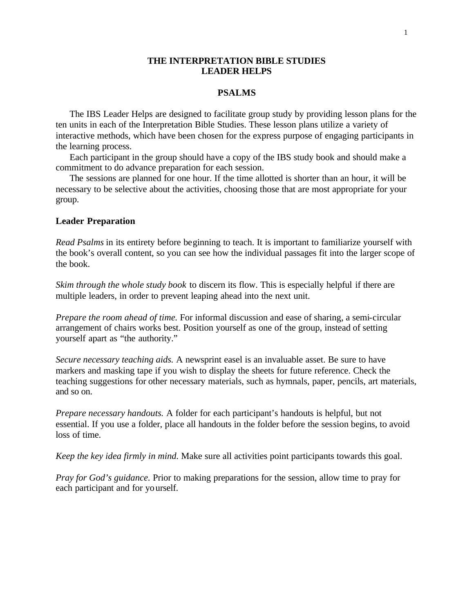### **THE INTERPRETATION BIBLE STUDIES LEADER HELPS**

#### **PSALMS**

The IBS Leader Helps are designed to facilitate group study by providing lesson plans for the ten units in each of the Interpretation Bible Studies. These lesson plans utilize a variety of interactive methods, which have been chosen for the express purpose of engaging participants in the learning process.

Each participant in the group should have a copy of the IBS study book and should make a commitment to do advance preparation for each session.

The sessions are planned for one hour. If the time allotted is shorter than an hour, it will be necessary to be selective about the activities, choosing those that are most appropriate for your group.

#### **Leader Preparation**

*Read Psalms* in its entirety before beginning to teach. It is important to familiarize yourself with the book's overall content, so you can see how the individual passages fit into the larger scope of the book.

*Skim through the whole study book* to discern its flow. This is especially helpful if there are multiple leaders, in order to prevent leaping ahead into the next unit.

*Prepare the room ahead of time.* For informal discussion and ease of sharing, a semi-circular arrangement of chairs works best. Position yourself as one of the group, instead of setting yourself apart as "the authority."

*Secure necessary teaching aids.* A newsprint easel is an invaluable asset. Be sure to have markers and masking tape if you wish to display the sheets for future reference. Check the teaching suggestions for other necessary materials, such as hymnals, paper, pencils, art materials, and so on.

*Prepare necessary handouts.* A folder for each participant's handouts is helpful, but not essential. If you use a folder, place all handouts in the folder before the session begins, to avoid loss of time.

*Keep the key idea firmly in mind.* Make sure all activities point participants towards this goal.

*Pray for God's guidance.* Prior to making preparations for the session, allow time to pray for each participant and for yourself.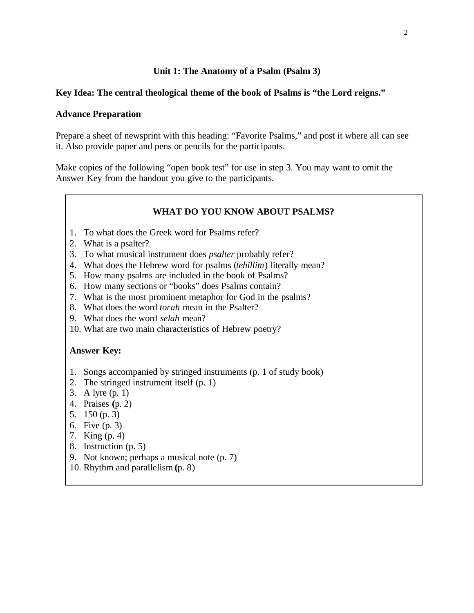### **Unit 1: The Anatomy of a Psalm (Psalm 3)**

### **Key Idea: The central theological theme of the book of Psalms is "the Lord reigns."**

### **Advance Preparation**

Prepare a sheet of newsprint with this heading: "Favorite Psalms," and post it where all can see it. Also provide paper and pens or pencils for the participants.

Make copies of the following "open book test" for use in step 3. You may want to omit the Answer Key from the handout you give to the participants.

## **WHAT DO YOU KNOW ABOUT PSALMS?**

- 1. To what does the Greek word for Psalms refer?
- 2. What is a psalter?
- 3. To what musical instrument does *psalter* probably refer?
- 4. What does the Hebrew word for psalms (*tehillim*) literally mean?
- 5. How many psalms are included in the book of Psalms?
- 6. How many sections or "books" does Psalms contain?
- 7. What is the most prominent metaphor for God in the psalms?
- 8. What does the word *torah* mean in the Psalter?
- 9. What does the word *selah* mean?
- 10. What are two main characteristics of Hebrew poetry?

### **Answer Key:**

- 1. Songs accompanied by stringed instruments (p. 1 of study book)
- 2. The stringed instrument itself (p. 1)
- 3. A lyre (p. 1)
- 4. Praises **(**p. 2)
- 5. 150 (p. 3)
- 6. Five (p. 3)
- 7. King (p. 4)
- 8. Instruction (p. 5)
- 9. Not known; perhaps a musical note (p. 7)
- 10. Rhythm and parallelism **(**p. 8)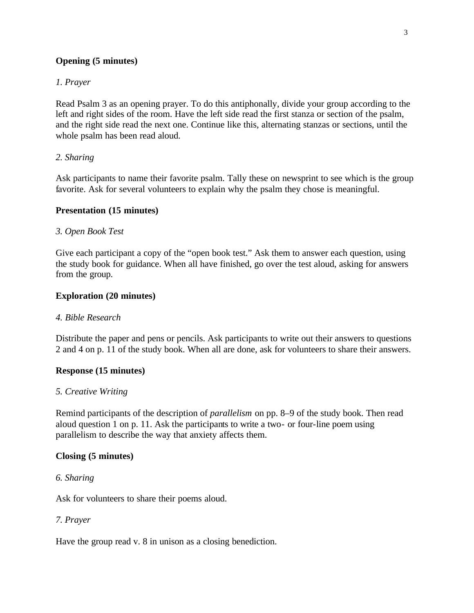# **Opening (5 minutes)**

## *1. Prayer*

Read Psalm 3 as an opening prayer. To do this antiphonally, divide your group according to the left and right sides of the room. Have the left side read the first stanza or section of the psalm, and the right side read the next one. Continue like this, alternating stanzas or sections, until the whole psalm has been read aloud.

## *2. Sharing*

Ask participants to name their favorite psalm. Tally these on newsprint to see which is the group favorite. Ask for several volunteers to explain why the psalm they chose is meaningful.

## **Presentation (15 minutes)**

### *3. Open Book Test*

Give each participant a copy of the "open book test." Ask them to answer each question, using the study book for guidance. When all have finished, go over the test aloud, asking for answers from the group.

## **Exploration (20 minutes)**

#### *4. Bible Research*

Distribute the paper and pens or pencils. Ask participants to write out their answers to questions 2 and 4 on p. 11 of the study book. When all are done, ask for volunteers to share their answers.

## **Response (15 minutes)**

#### *5. Creative Writing*

Remind participants of the description of *parallelism* on pp. 8–9 of the study book. Then read aloud question 1 on p. 11. Ask the participants to write a two- or four-line poem using parallelism to describe the way that anxiety affects them.

## **Closing (5 minutes)**

### *6. Sharing*

Ask for volunteers to share their poems aloud.

## *7. Prayer*

Have the group read v. 8 in unison as a closing benediction.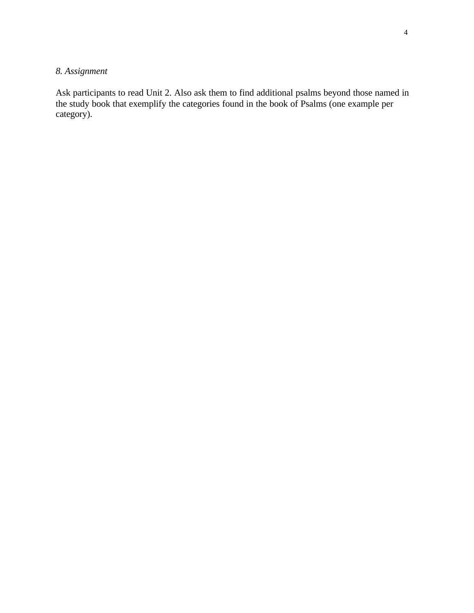# *8. Assignment*

Ask participants to read Unit 2. Also ask them to find additional psalms beyond those named in the study book that exemplify the categories found in the book of Psalms (one example per category).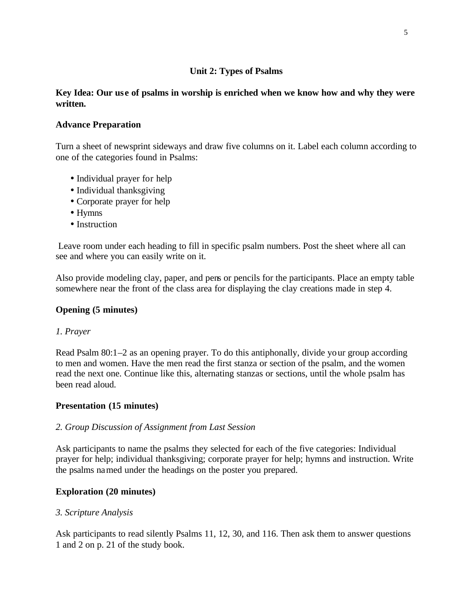# **Unit 2: Types of Psalms**

# **Key Idea: Our us e of psalms in worship is enriched when we know how and why they were written.**

# **Advance Preparation**

Turn a sheet of newsprint sideways and draw five columns on it. Label each column according to one of the categories found in Psalms:

- Individual prayer for help
- Individual thanksgiving
- Corporate prayer for help
- Hymns
- Instruction

 Leave room under each heading to fill in specific psalm numbers. Post the sheet where all can see and where you can easily write on it.

Also provide modeling clay, paper, and pens or pencils for the participants. Place an empty table somewhere near the front of the class area for displaying the clay creations made in step 4.

# **Opening (5 minutes)**

# *1. Prayer*

Read Psalm 80:1–2 as an opening prayer. To do this antiphonally, divide your group according to men and women. Have the men read the first stanza or section of the psalm, and the women read the next one. Continue like this, alternating stanzas or sections, until the whole psalm has been read aloud.

## **Presentation (15 minutes)**

## *2. Group Discussion of Assignment from Last Session*

Ask participants to name the psalms they selected for each of the five categories: Individual prayer for help; individual thanksgiving; corporate prayer for help; hymns and instruction. Write the psalms named under the headings on the poster you prepared.

# **Exploration (20 minutes)**

## *3. Scripture Analysis*

Ask participants to read silently Psalms 11, 12, 30, and 116. Then ask them to answer questions 1 and 2 on p. 21 of the study book.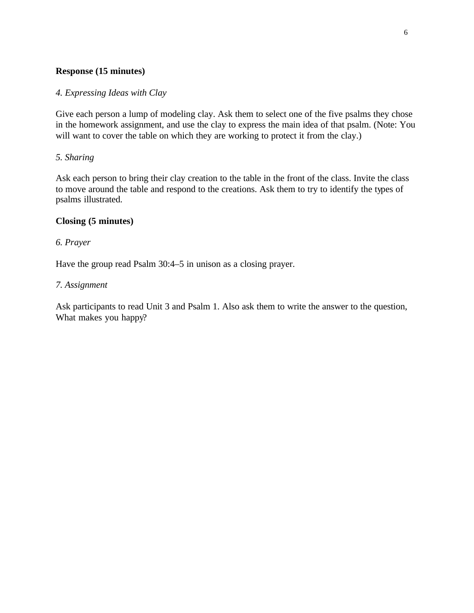## **Response (15 minutes)**

## *4. Expressing Ideas with Clay*

Give each person a lump of modeling clay. Ask them to select one of the five psalms they chose in the homework assignment, and use the clay to express the main idea of that psalm. (Note: You will want to cover the table on which they are working to protect it from the clay.)

# *5. Sharing*

Ask each person to bring their clay creation to the table in the front of the class. Invite the class to move around the table and respond to the creations. Ask them to try to identify the types of psalms illustrated.

# **Closing (5 minutes)**

# *6. Prayer*

Have the group read Psalm 30:4–5 in unison as a closing prayer.

### *7. Assignment*

Ask participants to read Unit 3 and Psalm 1. Also ask them to write the answer to the question, What makes you happy?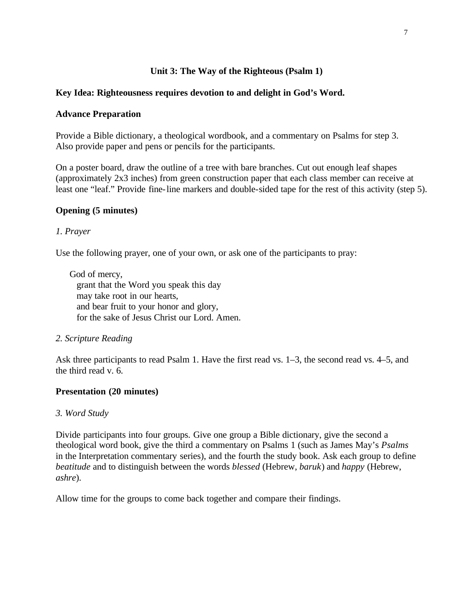# **Unit 3: The Way of the Righteous (Psalm 1)**

## **Key Idea: Righteousness requires devotion to and delight in God's Word.**

## **Advance Preparation**

Provide a Bible dictionary, a theological wordbook, and a commentary on Psalms for step 3. Also provide paper and pens or pencils for the participants.

On a poster board, draw the outline of a tree with bare branches. Cut out enough leaf shapes (approximately 2x3 inches) from green construction paper that each class member can receive at least one "leaf." Provide fine-line markers and double-sided tape for the rest of this activity (step 5).

# **Opening (5 minutes)**

# *1. Prayer*

Use the following prayer, one of your own, or ask one of the participants to pray:

God of mercy, grant that the Word you speak this day may take root in our hearts, and bear fruit to your honor and glory, for the sake of Jesus Christ our Lord. Amen.

## *2. Scripture Reading*

Ask three participants to read Psalm 1. Have the first read vs. 1–3, the second read vs. 4–5, and the third read v. 6.

## **Presentation (20 minutes)**

## *3. Word Study*

Divide participants into four groups. Give one group a Bible dictionary, give the second a theological word book, give the third a commentary on Psalms 1 (such as James May's *Psalms* in the Interpretation commentary series), and the fourth the study book. Ask each group to define *beatitude* and to distinguish between the words *blessed* (Hebrew, *baruk*) and *happy* (Hebrew, *ashre*).

Allow time for the groups to come back together and compare their findings.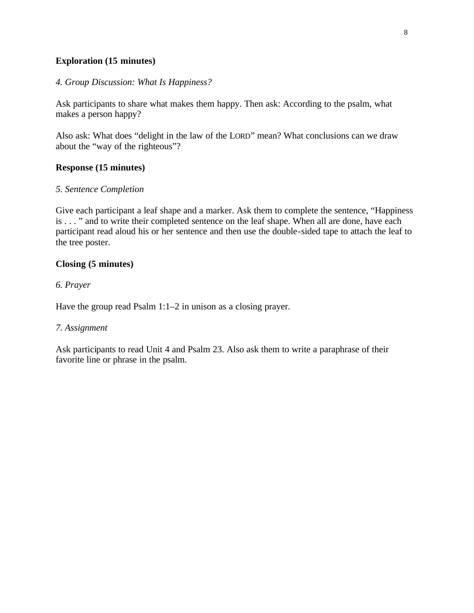# **Exploration (15 minutes)**

### *4. Group Discussion: What Is Happiness?*

Ask participants to share what makes them happy. Then ask: According to the psalm, what makes a person happy?

Also ask: What does "delight in the law of the LORD" mean? What conclusions can we draw about the "way of the righteous"?

## **Response (15 minutes)**

### *5. Sentence Completion*

Give each participant a leaf shape and a marker. Ask them to complete the sentence, "Happiness" is . . . " and to write their completed sentence on the leaf shape. When all are done, have each participant read aloud his or her sentence and then use the double-sided tape to attach the leaf to the tree poster.

## **Closing (5 minutes)**

### *6. Prayer*

Have the group read Psalm 1:1–2 in unison as a closing prayer.

#### *7. Assignment*

Ask participants to read Unit 4 and Psalm 23. Also ask them to write a paraphrase of their favorite line or phrase in the psalm.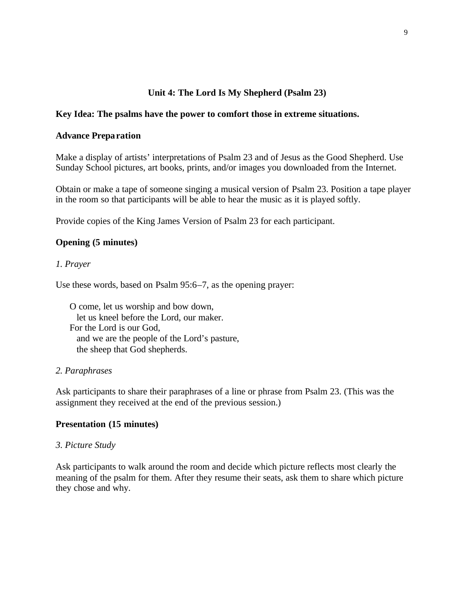# **Unit 4: The Lord Is My Shepherd (Psalm 23)**

## **Key Idea: The psalms have the power to comfort those in extreme situations.**

#### **Advance Preparation**

Make a display of artists' interpretations of Psalm 23 and of Jesus as the Good Shepherd. Use Sunday School pictures, art books, prints, and/or images you downloaded from the Internet.

Obtain or make a tape of someone singing a musical version of Psalm 23. Position a tape player in the room so that participants will be able to hear the music as it is played softly.

Provide copies of the King James Version of Psalm 23 for each participant.

## **Opening (5 minutes)**

### *1. Prayer*

Use these words, based on Psalm 95:6–7, as the opening prayer:

O come, let us worship and bow down, let us kneel before the Lord, our maker. For the Lord is our God, and we are the people of the Lord's pasture, the sheep that God shepherds.

#### *2. Paraphrases*

Ask participants to share their paraphrases of a line or phrase from Psalm 23. (This was the assignment they received at the end of the previous session.)

## **Presentation (15 minutes)**

#### *3. Picture Study*

Ask participants to walk around the room and decide which picture reflects most clearly the meaning of the psalm for them. After they resume their seats, ask them to share which picture they chose and why.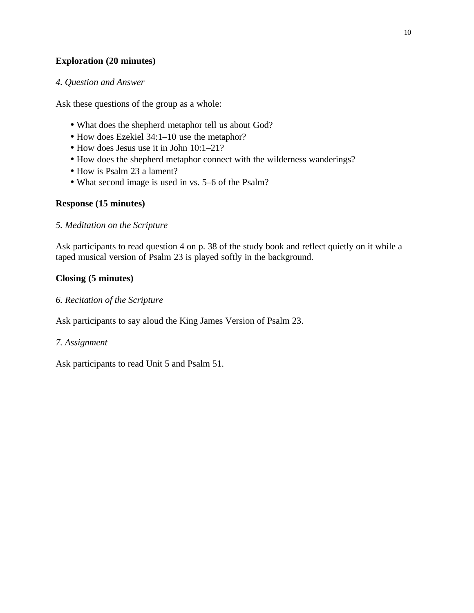# **Exploration (20 minutes)**

### *4. Question and Answer*

Ask these questions of the group as a whole:

- What does the shepherd metaphor tell us about God?
- How does Ezekiel 34:1–10 use the metaphor?
- How does Jesus use it in John 10:1–21?
- How does the shepherd metaphor connect with the wilderness wanderings?
- How is Psalm 23 a lament?
- What second image is used in vs. 5–6 of the Psalm?

## **Response (15 minutes)**

### *5. Meditation on the Scripture*

Ask participants to read question 4 on p. 38 of the study book and reflect quietly on it while a taped musical version of Psalm 23 is played softly in the background.

# **Closing (5 minutes)**

### *6. Recitation of the Scripture*

Ask participants to say aloud the King James Version of Psalm 23.

## *7. Assignment*

Ask participants to read Unit 5 and Psalm 51.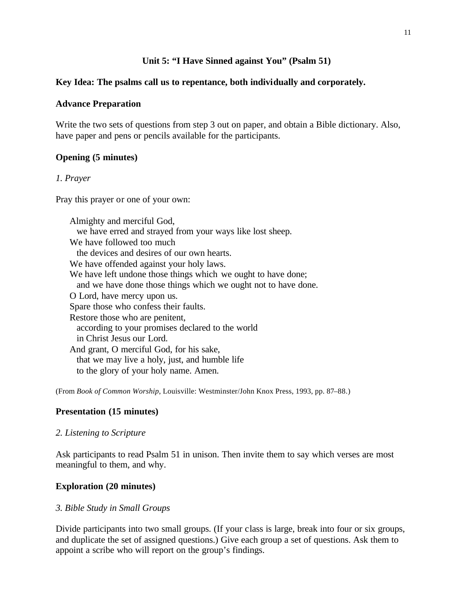### **Unit 5: "I Have Sinned against You" (Psalm 51)**

### **Key Idea: The psalms call us to repentance, both individually and corporately.**

### **Advance Preparation**

Write the two sets of questions from step 3 out on paper, and obtain a Bible dictionary. Also, have paper and pens or pencils available for the participants.

## **Opening (5 minutes)**

#### *1. Prayer*

Pray this prayer or one of your own:

Almighty and merciful God, we have erred and strayed from your ways like lost sheep. We have followed too much the devices and desires of our own hearts. We have offended against your holy laws. We have left undone those things which we ought to have done; and we have done those things which we ought not to have done. O Lord, have mercy upon us. Spare those who confess their faults. Restore those who are penitent, according to your promises declared to the world in Christ Jesus our Lord. And grant, O merciful God, for his sake, that we may live a holy, just, and humble life to the glory of your holy name. Amen.

(From *Book of Common Worship*, Louisville: Westminster/John Knox Press, 1993, pp. 87–88.)

#### **Presentation (15 minutes)**

#### *2. Listening to Scripture*

Ask participants to read Psalm 51 in unison. Then invite them to say which verses are most meaningful to them, and why.

#### **Exploration (20 minutes)**

#### *3. Bible Study in Small Groups*

Divide participants into two small groups. (If your class is large, break into four or six groups, and duplicate the set of assigned questions.) Give each group a set of questions. Ask them to appoint a scribe who will report on the group's findings.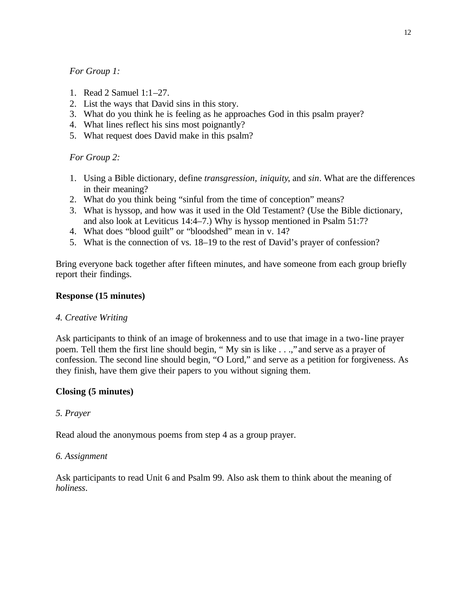## *For Group 1:*

- 1. Read 2 Samuel 1:1–27.
- 2. List the ways that David sins in this story.
- 3. What do you think he is feeling as he approaches God in this psalm prayer?
- 4. What lines reflect his sins most poignantly?
- 5. What request does David make in this psalm?

# *For Group 2:*

- 1. Using a Bible dictionary, define *transgression*, *iniquity*, and *sin*. What are the differences in their meaning?
- 2. What do you think being "sinful from the time of conception" means?
- 3. What is hyssop, and how was it used in the Old Testament? (Use the Bible dictionary, and also look at Leviticus 14:4–7.) Why is hyssop mentioned in Psalm 51:7?
- 4. What does "blood guilt" or "bloodshed" mean in v. 14?
- 5. What is the connection of vs. 18–19 to the rest of David's prayer of confession?

Bring everyone back together after fifteen minutes, and have someone from each group briefly report their findings.

## **Response (15 minutes)**

## *4. Creative Writing*

Ask participants to think of an image of brokenness and to use that image in a two-line prayer poem. Tell them the first line should begin, " My sin is like . . .," and serve as a prayer of confession. The second line should begin, "O Lord," and serve as a petition for forgiveness. As they finish, have them give their papers to you without signing them.

## **Closing (5 minutes)**

## *5. Prayer*

Read aloud the anonymous poems from step 4 as a group prayer.

## *6. Assignment*

Ask participants to read Unit 6 and Psalm 99. Also ask them to think about the meaning of *holiness*.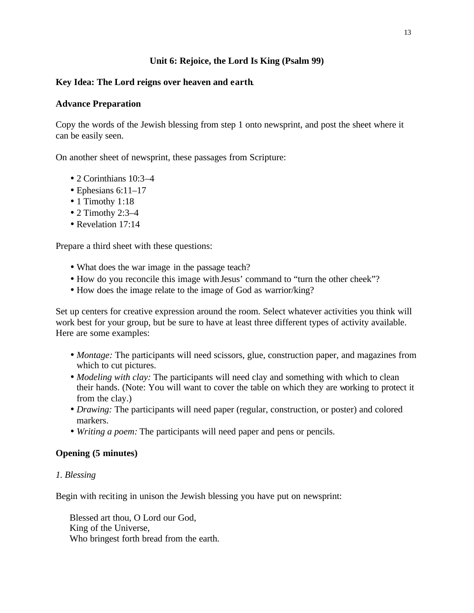# **Unit 6: Rejoice, the Lord Is King (Psalm 99)**

# **Key Idea: The Lord reigns over heaven and earth**.

## **Advance Preparation**

Copy the words of the Jewish blessing from step 1 onto newsprint, and post the sheet where it can be easily seen.

On another sheet of newsprint, these passages from Scripture:

- 2 Corinthians 10:3–4
- Ephesians  $6:11-17$
- 1 Timothy 1:18
- $\bullet$  2 Timothy 2:3-4
- Revelation 17:14

Prepare a third sheet with these questions:

- What does the war image in the passage teach?
- How do you reconcile this image with Jesus' command to "turn the other cheek"?
- How does the image relate to the image of God as warrior/king?

Set up centers for creative expression around the room. Select whatever activities you think will work best for your group, but be sure to have at least three different types of activity available. Here are some examples:

- *Montage:* The participants will need scissors, glue, construction paper, and magazines from which to cut pictures.
- *Modeling with clay:* The participants will need clay and something with which to clean their hands. (Note: You will want to cover the table on which they are working to protect it from the clay.)
- *Drawing:* The participants will need paper (regular, construction, or poster) and colored markers.
- *Writing a poem:* The participants will need paper and pens or pencils.

# **Opening (5 minutes)**

## *1. Blessing*

Begin with reciting in unison the Jewish blessing you have put on newsprint:

Blessed art thou, O Lord our God, King of the Universe, Who bringest forth bread from the earth.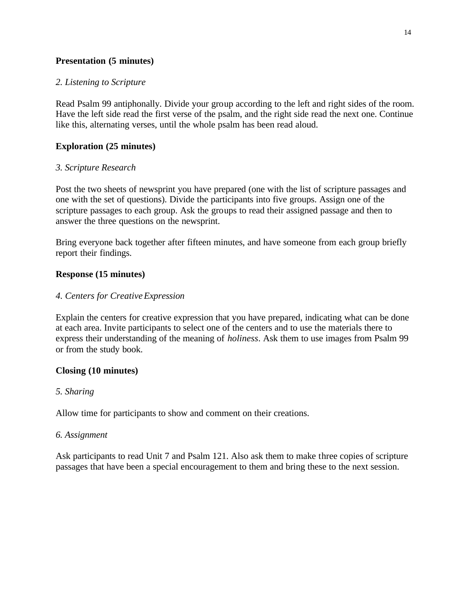## **Presentation (5 minutes)**

## *2. Listening to Scripture*

Read Psalm 99 antiphonally. Divide your group according to the left and right sides of the room. Have the left side read the first verse of the psalm, and the right side read the next one. Continue like this, alternating verses, until the whole psalm has been read aloud.

# **Exploration (25 minutes)**

# *3. Scripture Research*

Post the two sheets of newsprint you have prepared (one with the list of scripture passages and one with the set of questions). Divide the participants into five groups. Assign one of the scripture passages to each group. Ask the groups to read their assigned passage and then to answer the three questions on the newsprint.

Bring everyone back together after fifteen minutes, and have someone from each group briefly report their findings.

# **Response (15 minutes)**

# *4. Centers for Creative Expression*

Explain the centers for creative expression that you have prepared, indicating what can be done at each area. Invite participants to select one of the centers and to use the materials there to express their understanding of the meaning of *holiness*. Ask them to use images from Psalm 99 or from the study book.

# **Closing (10 minutes)**

## *5. Sharing*

Allow time for participants to show and comment on their creations.

## *6. Assignment*

Ask participants to read Unit 7 and Psalm 121. Also ask them to make three copies of scripture passages that have been a special encouragement to them and bring these to the next session.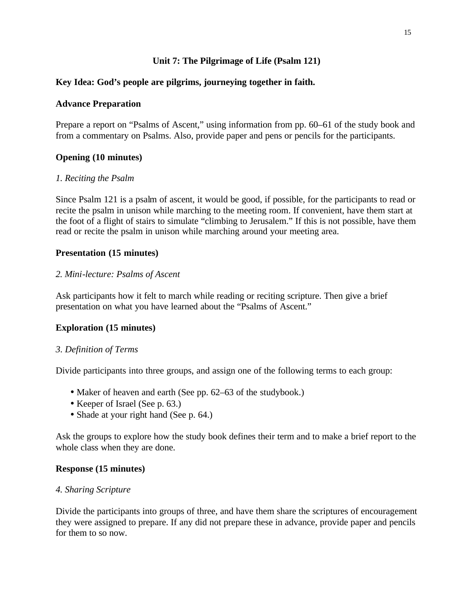# **Unit 7: The Pilgrimage of Life (Psalm 121)**

# **Key Idea: God's people are pilgrims, journeying together in faith.**

## **Advance Preparation**

Prepare a report on "Psalms of Ascent," using information from pp. 60–61 of the study book and from a commentary on Psalms. Also, provide paper and pens or pencils for the participants.

# **Opening (10 minutes)**

## *1. Reciting the Psalm*

Since Psalm 121 is a psalm of ascent, it would be good, if possible, for the participants to read or recite the psalm in unison while marching to the meeting room. If convenient, have them start at the foot of a flight of stairs to simulate "climbing to Jerusalem." If this is not possible, have them read or recite the psalm in unison while marching around your meeting area.

# **Presentation (15 minutes)**

## *2. Mini-lecture: Psalms of Ascent*

Ask participants how it felt to march while reading or reciting scripture. Then give a brief presentation on what you have learned about the "Psalms of Ascent."

# **Exploration (15 minutes)**

## *3. Definition of Terms*

Divide participants into three groups, and assign one of the following terms to each group:

- Maker of heaven and earth (See pp. 62–63 of the studybook.)
- Keeper of Israel (See p. 63.)
- Shade at your right hand (See p. 64.)

Ask the groups to explore how the study book defines their term and to make a brief report to the whole class when they are done.

## **Response (15 minutes)**

## *4. Sharing Scripture*

Divide the participants into groups of three, and have them share the scriptures of encouragement they were assigned to prepare. If any did not prepare these in advance, provide paper and pencils for them to so now.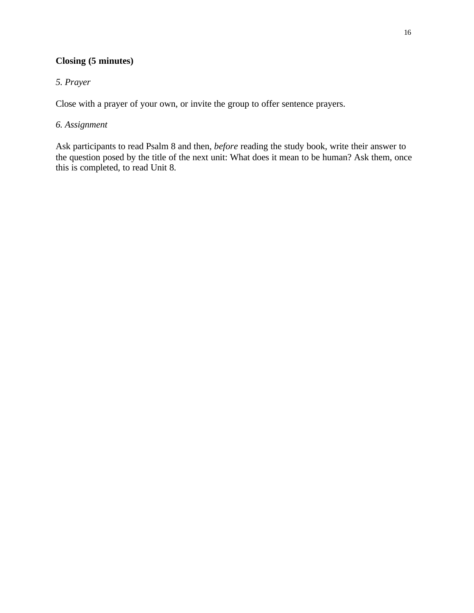# **Closing (5 minutes)**

# *5. Prayer*

Close with a prayer of your own, or invite the group to offer sentence prayers.

# *6. Assignment*

Ask participants to read Psalm 8 and then, *before* reading the study book, write their answer to the question posed by the title of the next unit: What does it mean to be human? Ask them, once this is completed, to read Unit 8.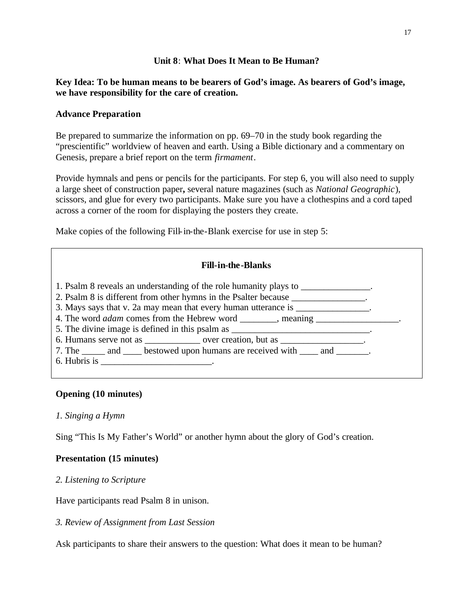### **Unit 8**: **What Does It Mean to Be Human?**

## **Key Idea: To be human means to be bearers of God's image. As bearers of God's image, we have responsibility for the care of creation.**

## **Advance Preparation**

Be prepared to summarize the information on pp. 69–70 in the study book regarding the "prescientific" worldview of heaven and earth. Using a Bible dictionary and a commentary on Genesis, prepare a brief report on the term *firmament*.

Provide hymnals and pens or pencils for the participants. For step 6, you will also need to supply a large sheet of construction paper**,** several nature magazines (such as *National Geographic*), scissors, and glue for every two participants. Make sure you have a clothespins and a cord taped across a corner of the room for displaying the posters they create.

Make copies of the following Fill-in-the-Blank exercise for use in step 5:

## **Fill-in-the-Blanks**

| 1. Psalm 8 reveals an understanding of the role humanity plays to ______________.<br>2. Psalm 8 is different from other hymns in the Psalter because _______________. |  |  |  |
|-----------------------------------------------------------------------------------------------------------------------------------------------------------------------|--|--|--|
| 3. Mays says that v. 2a may mean that every human utterance is _______________.                                                                                       |  |  |  |
|                                                                                                                                                                       |  |  |  |
| 5. The divine image is defined in this psalm as ________________________________.                                                                                     |  |  |  |
| 6. Humans serve not as _______________ over creation, but as __________________.                                                                                      |  |  |  |
| 7. The _______ and _______ bestowed upon humans are received with ______ and _________.                                                                               |  |  |  |
|                                                                                                                                                                       |  |  |  |
|                                                                                                                                                                       |  |  |  |

# **Opening (10 minutes)**

## *1. Singing a Hymn*

Sing "This Is My Father's World" or another hymn about the glory of God's creation.

# **Presentation (15 minutes)**

## *2. Listening to Scripture*

Have participants read Psalm 8 in unison.

*3. Review of Assignment from Last Session*

Ask participants to share their answers to the question: What does it mean to be human?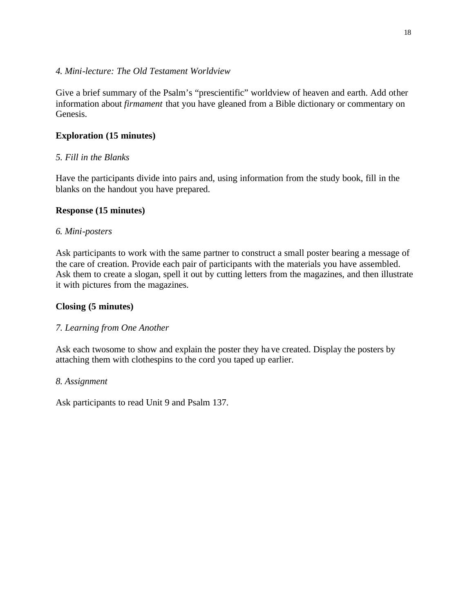### *4. Mini-lecture: The Old Testament Worldview*

Give a brief summary of the Psalm's "prescientific" worldview of heaven and earth. Add other information about *firmament* that you have gleaned from a Bible dictionary or commentary on Genesis.

# **Exploration (15 minutes)**

# *5. Fill in the Blanks*

Have the participants divide into pairs and, using information from the study book, fill in the blanks on the handout you have prepared.

## **Response (15 minutes)**

## *6. Mini-posters*

Ask participants to work with the same partner to construct a small poster bearing a message of the care of creation. Provide each pair of participants with the materials you have assembled. Ask them to create a slogan, spell it out by cutting letters from the magazines, and then illustrate it with pictures from the magazines.

## **Closing (5 minutes)**

## *7. Learning from One Another*

Ask each twosome to show and explain the poster they have created. Display the posters by attaching them with clothespins to the cord you taped up earlier.

## *8. Assignment*

Ask participants to read Unit 9 and Psalm 137.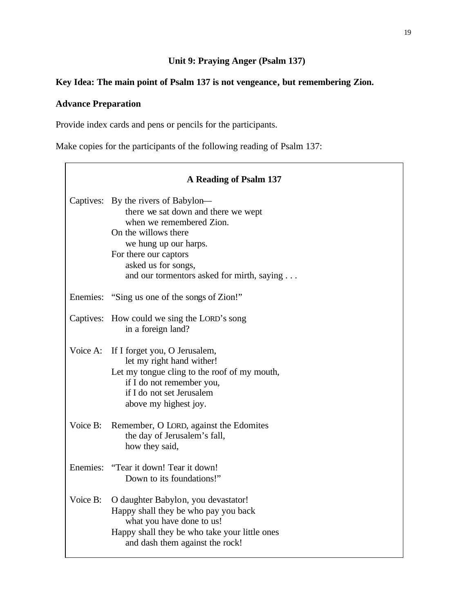# **Unit 9: Praying Anger (Psalm 137)**

# **Key Idea: The main point of Psalm 137 is not vengeance, but remembering Zion.**

# **Advance Preparation**

Provide index cards and pens or pencils for the participants.

Make copies for the participants of the following reading of Psalm 137:

|           | A Reading of Psalm 137                                                                                                                                                                                                                                |
|-----------|-------------------------------------------------------------------------------------------------------------------------------------------------------------------------------------------------------------------------------------------------------|
|           | Captives: By the rivers of Babylon—<br>there we sat down and there we wept<br>when we remembered Zion.<br>On the willows there<br>we hung up our harps.<br>For there our captors<br>asked us for songs,<br>and our tormentors asked for mirth, saying |
|           | Enemies: "Sing us one of the songs of Zion!"                                                                                                                                                                                                          |
| Captives: | How could we sing the LORD's song<br>in a foreign land?                                                                                                                                                                                               |
| Voice A:  | If I forget you, O Jerusalem,<br>let my right hand wither!<br>Let my tongue cling to the roof of my mouth,<br>if I do not remember you,<br>if I do not set Jerusalem<br>above my highest joy.                                                         |
| Voice B:  | Remember, O LORD, against the Edomites<br>the day of Jerusalem's fall,<br>how they said,                                                                                                                                                              |
|           | Enemies: "Tear it down! Tear it down!<br>Down to its foundations!"                                                                                                                                                                                    |
| Voice B:  | O daughter Babylon, you devastator!<br>Happy shall they be who pay you back<br>what you have done to us!<br>Happy shall they be who take your little ones<br>and dash them against the rock!                                                          |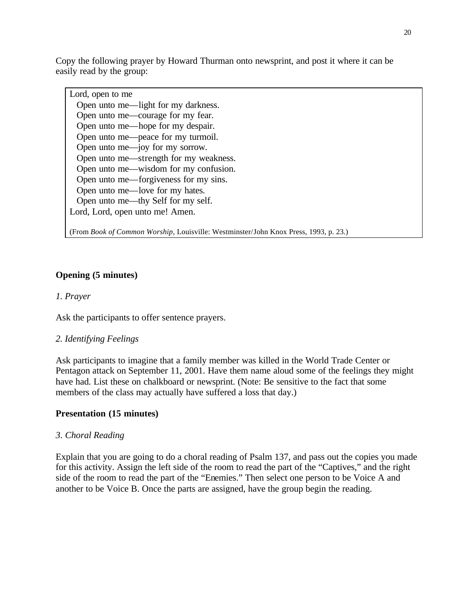Copy the following prayer by Howard Thurman onto newsprint, and post it where it can be easily read by the group:

| Lord, open to me                       |  |  |  |
|----------------------------------------|--|--|--|
| Open unto me—light for my darkness.    |  |  |  |
| Open unto me—courage for my fear.      |  |  |  |
| Open unto me—hope for my despair.      |  |  |  |
| Open unto me—peace for my turmoil.     |  |  |  |
| Open unto me—joy for my sorrow.        |  |  |  |
| Open unto me—strength for my weakness. |  |  |  |
| Open unto me—wisdom for my confusion.  |  |  |  |
| Open unto me—forgiveness for my sins.  |  |  |  |
| Open unto me—love for my hates.        |  |  |  |
| Open unto me—thy Self for my self.     |  |  |  |
| Lord, Lord, open unto me! Amen.        |  |  |  |
|                                        |  |  |  |

(From *Book of Common Worship*, Louisville: Westminster/John Knox Press, 1993, p. 23.)

# **Opening (5 minutes)**

### *1. Prayer*

Ask the participants to offer sentence prayers.

## *2. Identifying Feelings*

Ask participants to imagine that a family member was killed in the World Trade Center or Pentagon attack on September 11, 2001. Have them name aloud some of the feelings they might have had. List these on chalkboard or newsprint. (Note: Be sensitive to the fact that some members of the class may actually have suffered a loss that day.)

#### **Presentation (15 minutes)**

#### *3. Choral Reading*

Explain that you are going to do a choral reading of Psalm 137, and pass out the copies you made for this activity. Assign the left side of the room to read the part of the "Captives," and the right side of the room to read the part of the "Enemies." Then select one person to be Voice A and another to be Voice B. Once the parts are assigned, have the group begin the reading.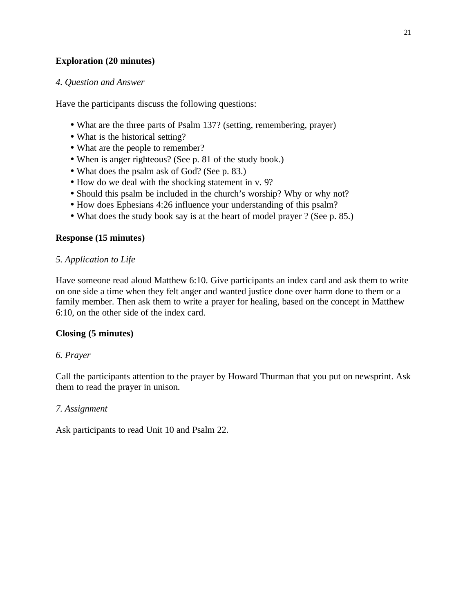# **Exploration (20 minutes)**

### *4. Question and Answer*

Have the participants discuss the following questions:

- What are the three parts of Psalm 137? (setting, remembering, prayer)
- What is the historical setting?
- What are the people to remember?
- When is anger righteous? (See p. 81 of the study book.)
- What does the psalm ask of God? (See p. 83.)
- How do we deal with the shocking statement in v. 9?
- Should this psalm be included in the church's worship? Why or why not?
- How does Ephesians 4:26 influence your understanding of this psalm?
- What does the study book say is at the heart of model prayer ? (See p. 85.)

## **Response (15 minutes)**

## *5. Application to Life*

Have someone read aloud Matthew 6:10. Give participants an index card and ask them to write on one side a time when they felt anger and wanted justice done over harm done to them or a family member. Then ask them to write a prayer for healing, based on the concept in Matthew 6:10, on the other side of the index card.

## **Closing (5 minutes)**

## *6. Prayer*

Call the participants attention to the prayer by Howard Thurman that you put on newsprint. Ask them to read the prayer in unison.

#### *7. Assignment*

Ask participants to read Unit 10 and Psalm 22.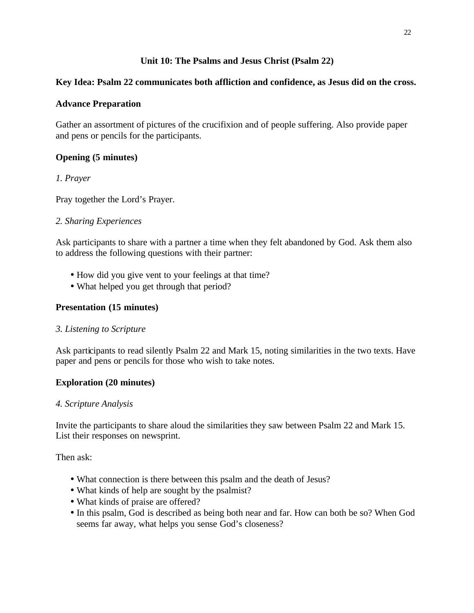# **Unit 10: The Psalms and Jesus Christ (Psalm 22)**

# **Key Idea: Psalm 22 communicates both affliction and confidence, as Jesus did on the cross.**

# **Advance Preparation**

Gather an assortment of pictures of the crucifixion and of people suffering. Also provide paper and pens or pencils for the participants.

# **Opening (5 minutes)**

# *1. Prayer*

Pray together the Lord's Prayer.

# *2. Sharing Experiences*

Ask participants to share with a partner a time when they felt abandoned by God. Ask them also to address the following questions with their partner:

- How did you give vent to your feelings at that time?
- What helped you get through that period?

# **Presentation (15 minutes)**

## *3. Listening to Scripture*

Ask participants to read silently Psalm 22 and Mark 15, noting similarities in the two texts. Have paper and pens or pencils for those who wish to take notes.

# **Exploration (20 minutes)**

## *4. Scripture Analysis*

Invite the participants to share aloud the similarities they saw between Psalm 22 and Mark 15. List their responses on newsprint.

Then ask:

- What connection is there between this psalm and the death of Jesus?
- What kinds of help are sought by the psalmist?
- What kinds of praise are offered?
- In this psalm, God is described as being both near and far. How can both be so? When God seems far away, what helps you sense God's closeness?